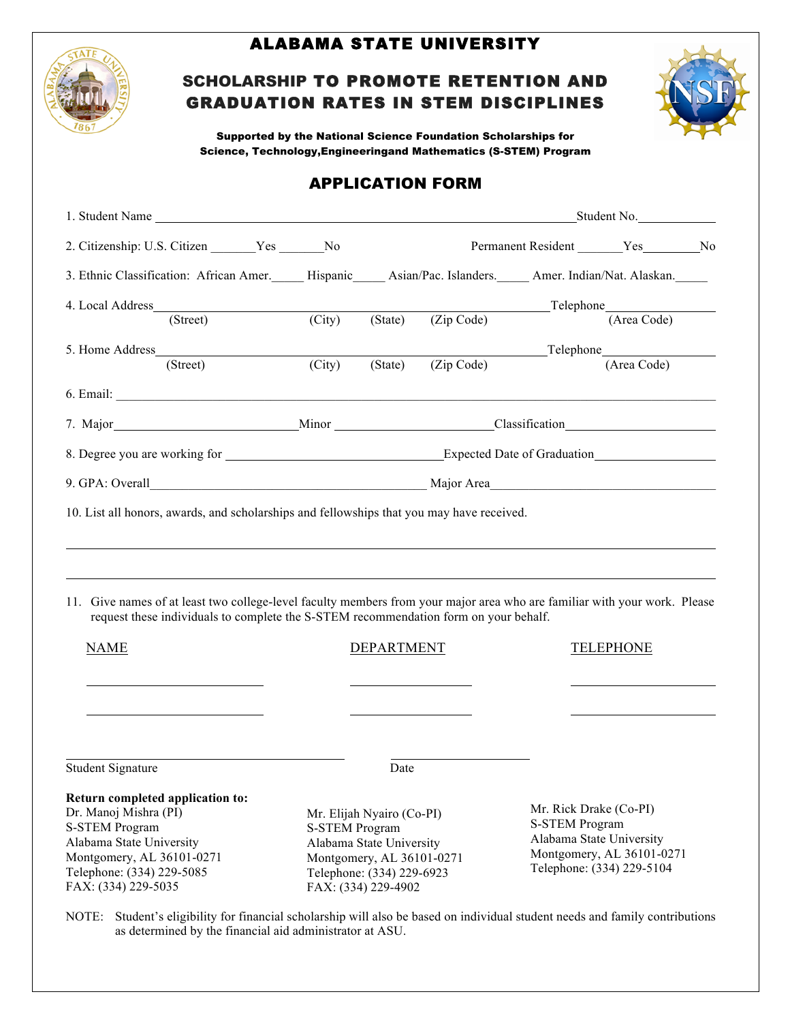

#### ALABAMA STATE UNIVERSITY

# SCHOLARSHIP TO PROMOTE RETENTION AND GRADUATION RATES IN STEM DISCIPLINES



Supported by the National Science Foundation Scholarships for Science, Technology,Engineeringand Mathematics (S-STEM) Program

### APPLICATION FORM

| 1. Student Name                                                                                                                                                                                                   |        |                                                                                                                                                                 | Student No.        |                                                                                                                                       |                                    |  |
|-------------------------------------------------------------------------------------------------------------------------------------------------------------------------------------------------------------------|--------|-----------------------------------------------------------------------------------------------------------------------------------------------------------------|--------------------|---------------------------------------------------------------------------------------------------------------------------------------|------------------------------------|--|
| 2. Citizenship: U.S. Citizen _______ Yes _______ No                                                                                                                                                               |        |                                                                                                                                                                 |                    |                                                                                                                                       |                                    |  |
| 3. Ethnic Classification: African Amer. 15. Hispanic 1. Asian/Pac. Islanders. 1. Amer. Indian/Nat. Alaskan.                                                                                                       |        |                                                                                                                                                                 |                    |                                                                                                                                       |                                    |  |
| 4. Local Address                                                                                                                                                                                                  |        |                                                                                                                                                                 |                    |                                                                                                                                       | $\Box$ Telephone                   |  |
| (Street)                                                                                                                                                                                                          | (City) |                                                                                                                                                                 | (State) (Zip Code) |                                                                                                                                       | (Area Code)                        |  |
| (Street)                                                                                                                                                                                                          | (City) | (State)                                                                                                                                                         | (Zip Code)         |                                                                                                                                       | Telephone Telephone<br>(Area Code) |  |
| 6. Email: <u>Capacitan Communication</u>                                                                                                                                                                          |        |                                                                                                                                                                 |                    |                                                                                                                                       |                                    |  |
|                                                                                                                                                                                                                   |        |                                                                                                                                                                 |                    |                                                                                                                                       |                                    |  |
|                                                                                                                                                                                                                   |        |                                                                                                                                                                 |                    |                                                                                                                                       |                                    |  |
|                                                                                                                                                                                                                   |        |                                                                                                                                                                 |                    |                                                                                                                                       |                                    |  |
| 11. Give names of at least two college-level faculty members from your major area who are familiar with your work. Please<br>request these individuals to complete the S-STEM recommendation form on your behalf. |        |                                                                                                                                                                 |                    |                                                                                                                                       |                                    |  |
| <b>NAME</b>                                                                                                                                                                                                       |        | <b>DEPARTMENT</b>                                                                                                                                               |                    |                                                                                                                                       | <b>TELEPHONE</b>                   |  |
| <b>Student Signature</b>                                                                                                                                                                                          |        | Date                                                                                                                                                            |                    |                                                                                                                                       |                                    |  |
| Return completed application to:<br>Dr. Manoj Mishra (PI)<br><b>S-STEM Program</b><br>Alabama State University<br>Montgomery, AL 36101-0271<br>Telephone: (334) 229-5085<br>FAX: (334) 229-5035                   |        | Mr. Elijah Nyairo (Co-PI)<br><b>S-STEM Program</b><br>Alabama State University<br>Montgomery, AL 36101-0271<br>Telephone: (334) 229-6923<br>FAX: (334) 229-4902 |                    | Mr. Rick Drake (Co-PI)<br><b>S-STEM Program</b><br>Alabama State University<br>Montgomery, AL 36101-0271<br>Telephone: (334) 229-5104 |                                    |  |

NOTE: Student's eligibility for financial scholarship will also be based on individual student needs and family contributions as determined by the financial aid administrator at ASU.